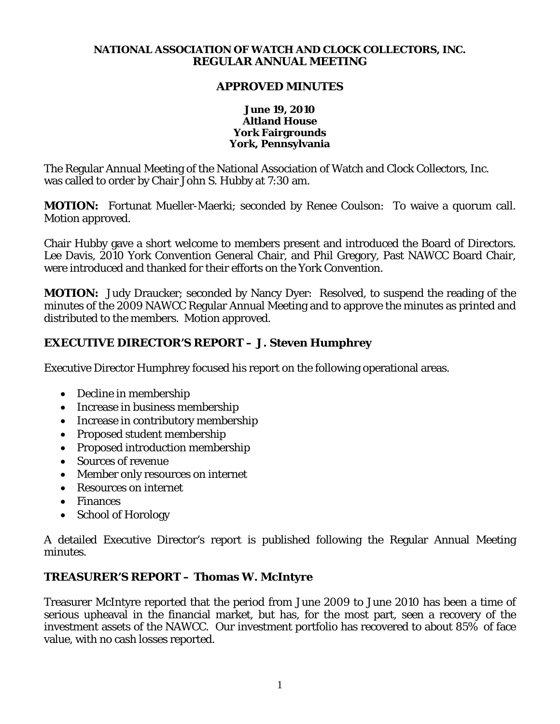#### **NATIONAL ASSOCIATION OF WATCH AND CLOCK COLLECTORS, INC. REGULAR ANNUAL MEETING**

### **APPROVED MINUTES**

#### **June 19, 2010 Altland House York Fairgrounds York, Pennsylvania**

The Regular Annual Meeting of the National Association of Watch and Clock Collectors, Inc. was called to order by Chair John S. Hubby at 7:30 am.

**MOTION:** Fortunat Mueller-Maerki; seconded by Renee Coulson: To waive a quorum call. Motion approved.

Chair Hubby gave a short welcome to members present and introduced the Board of Directors. Lee Davis, 2010 York Convention General Chair, and Phil Gregory, Past NAWCC Board Chair, were introduced and thanked for their efforts on the York Convention.

**MOTION:** Judy Draucker; seconded by Nancy Dyer: Resolved, to suspend the reading of the minutes of the 2009 NAWCC Regular Annual Meeting and to approve the minutes as printed and distributed to the members. Motion approved.

## **EXECUTIVE DIRECTOR'S REPORT – J. Steven Humphrey**

Executive Director Humphrey focused his report on the following operational areas.

- Decline in membership
- Increase in business membership
- Increase in contributory membership
- Proposed student membership
- Proposed introduction membership
- Sources of revenue
- Member only resources on internet
- Resources on internet
- Finances
- School of Horology

A detailed Executive Director's report is published following the Regular Annual Meeting minutes.

## **TREASURER'S REPORT – Thomas W. McIntyre**

Treasurer McIntyre reported that the period from June 2009 to June 2010 has been a time of serious upheaval in the financial market, but has, for the most part, seen a recovery of the investment assets of the NAWCC. Our investment portfolio has recovered to about 85% of face value, with no cash losses reported.